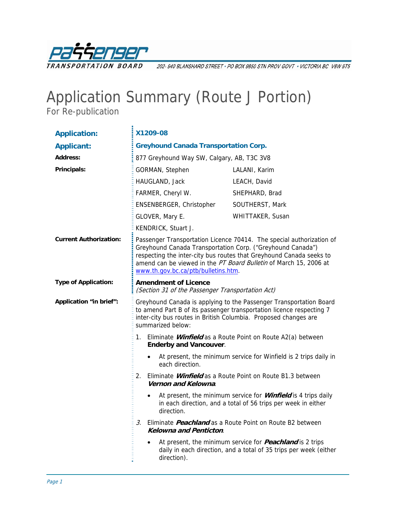

202-940 BLANSHARD STREET · PO BOX 9850 STN PROV GOVT · VICTORIA BC V8W 9T5

## Application Summary (Route J Portion)

For Re-publication

| <b>Application:</b>           | X1209-08                                                                                                                                                                                                                                                                                                              |                                                                                                                                       |  |
|-------------------------------|-----------------------------------------------------------------------------------------------------------------------------------------------------------------------------------------------------------------------------------------------------------------------------------------------------------------------|---------------------------------------------------------------------------------------------------------------------------------------|--|
| <b>Applicant:</b>             | <b>Greyhound Canada Transportation Corp.</b>                                                                                                                                                                                                                                                                          |                                                                                                                                       |  |
| <b>Address:</b>               | 877 Greyhound Way SW, Calgary, AB, T3C 3V8                                                                                                                                                                                                                                                                            |                                                                                                                                       |  |
| Principals:                   | GORMAN, Stephen                                                                                                                                                                                                                                                                                                       | LALANI, Karim                                                                                                                         |  |
|                               | HAUGLAND, Jack                                                                                                                                                                                                                                                                                                        | LEACH, David                                                                                                                          |  |
|                               | FARMER, Cheryl W.                                                                                                                                                                                                                                                                                                     | SHEPHARD, Brad                                                                                                                        |  |
|                               | ENSENBERGER, Christopher                                                                                                                                                                                                                                                                                              | SOUTHERST, Mark                                                                                                                       |  |
|                               | GLOVER, Mary E.                                                                                                                                                                                                                                                                                                       | WHITTAKER, Susan                                                                                                                      |  |
|                               | KENDRICK, Stuart J.                                                                                                                                                                                                                                                                                                   |                                                                                                                                       |  |
| <b>Current Authorization:</b> | Passenger Transportation Licence 70414. The special authorization of<br>Greyhound Canada Transportation Corp. ("Greyhound Canada")<br>respecting the inter-city bus routes that Greyhound Canada seeks to<br>amend can be viewed in the PT Board Bulletin of March 15, 2006 at<br>www.th.gov.bc.ca/ptb/bulletins.htm. |                                                                                                                                       |  |
| <b>Type of Application:</b>   | <b>Amendment of Licence</b><br>(Section 31 of the Passenger Transportation Act)                                                                                                                                                                                                                                       |                                                                                                                                       |  |
| Application "in brief":       | Greyhound Canada is applying to the Passenger Transportation Board<br>to amend Part B of its passenger transportation licence respecting 7<br>inter-city bus routes in British Columbia. Proposed changes are<br>summarized below:                                                                                    |                                                                                                                                       |  |
|                               | Eliminate <i>Winfield</i> as a Route Point on Route A2(a) between<br>1.<br><b>Enderby and Vancouver.</b>                                                                                                                                                                                                              |                                                                                                                                       |  |
|                               | At present, the minimum service for Winfield is 2 trips daily in<br>$\bullet$<br>each direction.                                                                                                                                                                                                                      |                                                                                                                                       |  |
|                               | Eliminate <i>Winfield</i> as a Route Point on Route B1.3 between<br>2.<br>Vernon and Kelowna.                                                                                                                                                                                                                         |                                                                                                                                       |  |
|                               | direction.                                                                                                                                                                                                                                                                                                            | At present, the minimum service for <b>Winfield</b> is 4 trips daily<br>in each direction, and a total of 56 trips per week in either |  |
|                               | Eliminate <i>Peachland</i> as a Route Point on Route B2 between<br>3.<br><b>Kelowna and Penticton.</b>                                                                                                                                                                                                                |                                                                                                                                       |  |
|                               | $\bullet$<br>direction).                                                                                                                                                                                                                                                                                              | At present, the minimum service for <b>Peachland</b> is 2 trips<br>daily in each direction, and a total of 35 trips per week (either  |  |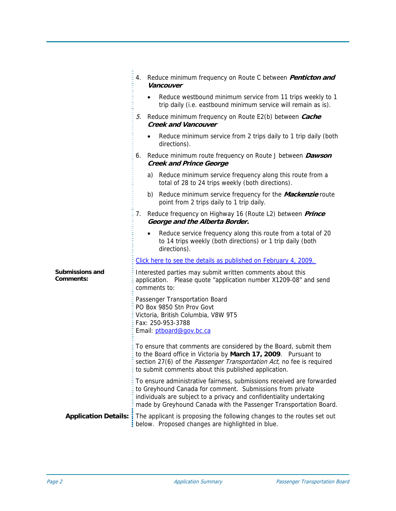|                                            | Reduce minimum frequency on Route C between <i>Penticton and</i><br>4.<br>Vancouver                                                                                                                                                                                             |  |  |
|--------------------------------------------|---------------------------------------------------------------------------------------------------------------------------------------------------------------------------------------------------------------------------------------------------------------------------------|--|--|
|                                            | Reduce westbound minimum service from 11 trips weekly to 1<br>trip daily (i.e. eastbound minimum service will remain as is).                                                                                                                                                    |  |  |
|                                            | Reduce minimum frequency on Route E2(b) between Cache<br>5.<br><b>Creek and Vancouver</b>                                                                                                                                                                                       |  |  |
|                                            | Reduce minimum service from 2 trips daily to 1 trip daily (both<br>directions).                                                                                                                                                                                                 |  |  |
|                                            | Reduce minimum route frequency on Route J between <b>Dawson</b><br>6.<br><b>Creek and Prince George</b>                                                                                                                                                                         |  |  |
|                                            | a) Reduce minimum service frequency along this route from a<br>total of 28 to 24 trips weekly (both directions).                                                                                                                                                                |  |  |
|                                            | b) Reduce minimum service frequency for the <i>Mackenzie</i> route<br>point from 2 trips daily to 1 trip daily.                                                                                                                                                                 |  |  |
|                                            | Reduce frequency on Highway 16 (Route L2) between Prince<br>7.<br>George and the Alberta Border.                                                                                                                                                                                |  |  |
|                                            | Reduce service frequency along this route from a total of 20<br>$\bullet$<br>to 14 trips weekly (both directions) or 1 trip daily (both<br>directions).                                                                                                                         |  |  |
|                                            | Click here to see the details as published on February 4, 2009.                                                                                                                                                                                                                 |  |  |
| <b>Submissions and</b><br><b>Comments:</b> | Interested parties may submit written comments about this<br>application. Please quote "application number X1209-08" and send<br>comments to:                                                                                                                                   |  |  |
|                                            | Passenger Transportation Board<br>PO Box 9850 Stn Prov Govt<br>Victoria, British Columbia, V8W 9T5<br>Fax: 250-953-3788                                                                                                                                                         |  |  |
|                                            |                                                                                                                                                                                                                                                                                 |  |  |
|                                            | Email: ptboard@gov.bc.ca                                                                                                                                                                                                                                                        |  |  |
|                                            | To ensure that comments are considered by the Board, submit them<br>to the Board office in Victoria by March 17, 2009. Pursuant to<br>section 27(6) of the <i>Passenger Transportation Act</i> , no fee is required<br>to submit comments about this published application.     |  |  |
|                                            | To ensure administrative fairness, submissions received are forwarded<br>to Greyhound Canada for comment. Submissions from private<br>individuals are subject to a privacy and confidentiality undertaking<br>made by Greyhound Canada with the Passenger Transportation Board. |  |  |
|                                            | <b>Application Details:</b> The applicant is proposing the following changes to the routes set out<br>below. Proposed changes are highlighted in blue.                                                                                                                          |  |  |